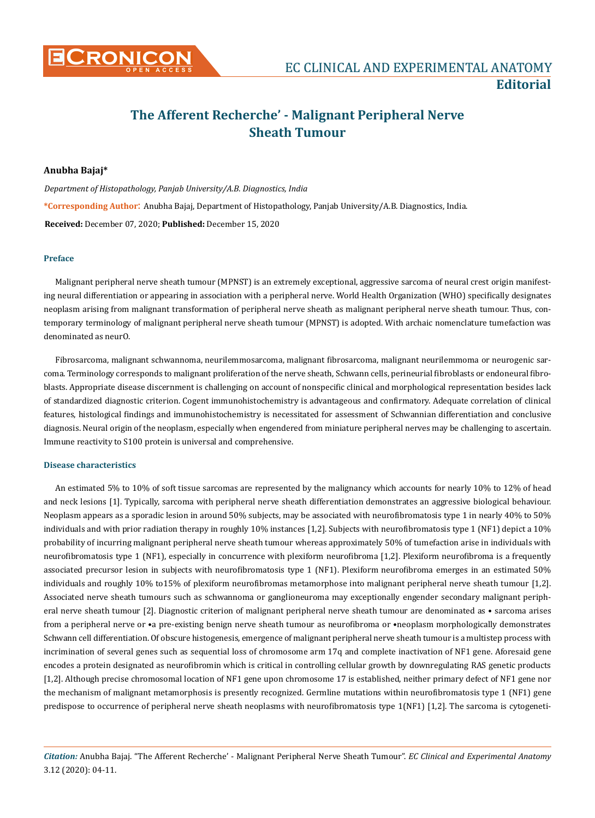

# **The Afferent Recherche' - Malignant Peripheral Nerve Sheath Tumour**

# **Anubha Bajaj\***

*Department of Histopathology, Panjab University/A.B. Diagnostics, India* **\*Corresponding Author**: Anubha Bajaj, Department of Histopathology, Panjab University/A.B. Diagnostics, India. **Received:** December 07, 2020; **Published:** December 15, 2020

# **Preface**

Malignant peripheral nerve sheath tumour (MPNST) is an extremely exceptional, aggressive sarcoma of neural crest origin manifesting neural differentiation or appearing in association with a peripheral nerve. World Health Organization (WHO) specifically designates neoplasm arising from malignant transformation of peripheral nerve sheath as malignant peripheral nerve sheath tumour. Thus, contemporary terminology of malignant peripheral nerve sheath tumour (MPNST) is adopted. With archaic nomenclature tumefaction was denominated as neurO.

Fibrosarcoma, malignant schwannoma, neurilemmosarcoma, malignant fibrosarcoma, malignant neurilemmoma or neurogenic sarcoma. Terminology corresponds to malignant proliferation of the nerve sheath, Schwann cells, perineurial fibroblasts or endoneural fibroblasts. Appropriate disease discernment is challenging on account of nonspecific clinical and morphological representation besides lack of standardized diagnostic criterion. Cogent immunohistochemistry is advantageous and confirmatory. Adequate correlation of clinical features, histological findings and immunohistochemistry is necessitated for assessment of Schwannian differentiation and conclusive diagnosis. Neural origin of the neoplasm, especially when engendered from miniature peripheral nerves may be challenging to ascertain. Immune reactivity to S100 protein is universal and comprehensive.

#### **Disease characteristics**

An estimated 5% to 10% of soft tissue sarcomas are represented by the malignancy which accounts for nearly 10% to 12% of head and neck lesions [1]. Typically, sarcoma with peripheral nerve sheath differentiation demonstrates an aggressive biological behaviour. Neoplasm appears as a sporadic lesion in around 50% subjects, may be associated with neurofibromatosis type 1 in nearly 40% to 50% individuals and with prior radiation therapy in roughly 10% instances [1,2]. Subjects with neurofibromatosis type 1 (NF1) depict a 10% probability of incurring malignant peripheral nerve sheath tumour whereas approximately 50% of tumefaction arise in individuals with neurofibromatosis type 1 (NF1), especially in concurrence with plexiform neurofibroma [1,2]. Plexiform neurofibroma is a frequently associated precursor lesion in subjects with neurofibromatosis type 1 (NF1). Plexiform neurofibroma emerges in an estimated 50% individuals and roughly 10% to15% of plexiform neurofibromas metamorphose into malignant peripheral nerve sheath tumour [1,2]. Associated nerve sheath tumours such as schwannoma or ganglioneuroma may exceptionally engender secondary malignant peripheral nerve sheath tumour [2]. Diagnostic criterion of malignant peripheral nerve sheath tumour are denominated as • sarcoma arises from a peripheral nerve or •a pre-existing benign nerve sheath tumour as neurofibroma or •neoplasm morphologically demonstrates Schwann cell differentiation. Of obscure histogenesis, emergence of malignant peripheral nerve sheath tumour is a multistep process with incrimination of several genes such as sequential loss of chromosome arm 17q and complete inactivation of NF1 gene. Aforesaid gene encodes a protein designated as neurofibromin which is critical in controlling cellular growth by downregulating RAS genetic products [1,2]. Although precise chromosomal location of NF1 gene upon chromosome 17 is established, neither primary defect of NF1 gene nor the mechanism of malignant metamorphosis is presently recognized. Germline mutations within neurofibromatosis type 1 (NF1) gene predispose to occurrence of peripheral nerve sheath neoplasms with neurofibromatosis type 1(NF1) [1,2]. The sarcoma is cytogeneti-

*Citation:* Anubha Bajaj. "The Afferent Recherche' - Malignant Peripheral Nerve Sheath Tumour". *EC Clinical and Experimental Anatomy* 3.12 (2020): 04-11.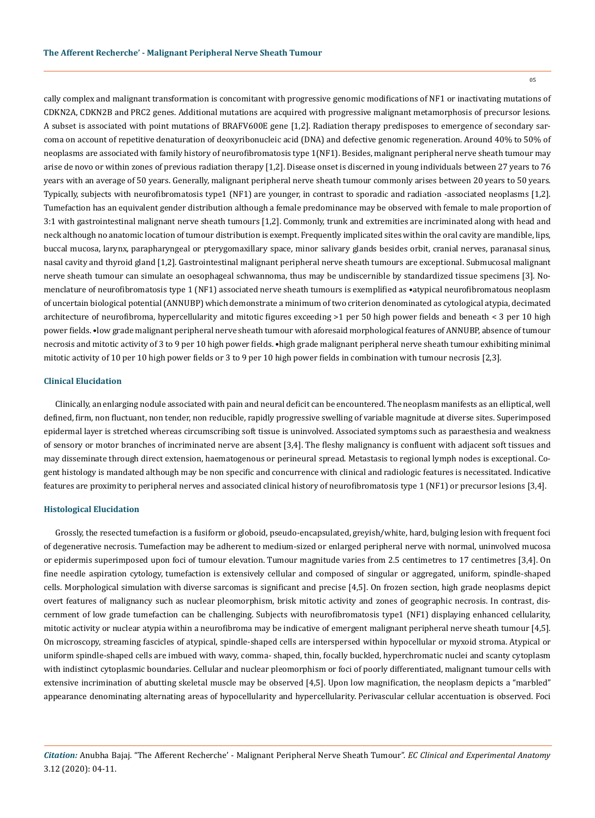05

cally complex and malignant transformation is concomitant with progressive genomic modifications of NF1 or inactivating mutations of CDKN2A, CDKN2B and PRC2 genes. Additional mutations are acquired with progressive malignant metamorphosis of precursor lesions. A subset is associated with point mutations of BRAFV600E gene [1,2]. Radiation therapy predisposes to emergence of secondary sarcoma on account of repetitive denaturation of deoxyribonucleic acid (DNA) and defective genomic regeneration. Around 40% to 50% of neoplasms are associated with family history of neurofibromatosis type 1(NF1). Besides, malignant peripheral nerve sheath tumour may arise de novo or within zones of previous radiation therapy [1,2]. Disease onset is discerned in young individuals between 27 years to 76 years with an average of 50 years. Generally, malignant peripheral nerve sheath tumour commonly arises between 20 years to 50 years. Typically, subjects with neurofibromatosis type1 (NF1) are younger, in contrast to sporadic and radiation -associated neoplasms [1,2]. Tumefaction has an equivalent gender distribution although a female predominance may be observed with female to male proportion of 3:1 with gastrointestinal malignant nerve sheath tumours [1,2]. Commonly, trunk and extremities are incriminated along with head and neck although no anatomic location of tumour distribution is exempt. Frequently implicated sites within the oral cavity are mandible, lips, buccal mucosa, larynx, parapharyngeal or pterygomaxillary space, minor salivary glands besides orbit, cranial nerves, paranasal sinus, nasal cavity and thyroid gland [1,2]. Gastrointestinal malignant peripheral nerve sheath tumours are exceptional. Submucosal malignant nerve sheath tumour can simulate an oesophageal schwannoma, thus may be undiscernible by standardized tissue specimens [3]. Nomenclature of neurofibromatosis type 1 (NF1) associated nerve sheath tumours is exemplified as •atypical neurofibromatous neoplasm of uncertain biological potential (ANNUBP) which demonstrate a minimum of two criterion denominated as cytological atypia, decimated architecture of neurofibroma, hypercellularity and mitotic figures exceeding >1 per 50 high power fields and beneath < 3 per 10 high power fields. •low grade malignant peripheral nerve sheath tumour with aforesaid morphological features of ANNUBP, absence of tumour necrosis and mitotic activity of 3 to 9 per 10 high power fields. •high grade malignant peripheral nerve sheath tumour exhibiting minimal mitotic activity of 10 per 10 high power fields or 3 to 9 per 10 high power fields in combination with tumour necrosis [2,3].

# **Clinical Elucidation**

Clinically, an enlarging nodule associated with pain and neural deficit can be encountered. The neoplasm manifests as an elliptical, well defined, firm, non fluctuant, non tender, non reducible, rapidly progressive swelling of variable magnitude at diverse sites. Superimposed epidermal layer is stretched whereas circumscribing soft tissue is uninvolved. Associated symptoms such as paraesthesia and weakness of sensory or motor branches of incriminated nerve are absent [3,4]. The fleshy malignancy is confluent with adjacent soft tissues and may disseminate through direct extension, haematogenous or perineural spread. Metastasis to regional lymph nodes is exceptional. Cogent histology is mandated although may be non specific and concurrence with clinical and radiologic features is necessitated. Indicative features are proximity to peripheral nerves and associated clinical history of neurofibromatosis type 1 (NF1) or precursor lesions [3,4].

#### **Histological Elucidation**

Grossly, the resected tumefaction is a fusiform or globoid, pseudo-encapsulated, greyish/white, hard, bulging lesion with frequent foci of degenerative necrosis. Tumefaction may be adherent to medium-sized or enlarged peripheral nerve with normal, uninvolved mucosa or epidermis superimposed upon foci of tumour elevation. Tumour magnitude varies from 2.5 centimetres to 17 centimetres [3,4]. On fine needle aspiration cytology, tumefaction is extensively cellular and composed of singular or aggregated, uniform, spindle-shaped cells. Morphological simulation with diverse sarcomas is significant and precise [4,5]. On frozen section, high grade neoplasms depict overt features of malignancy such as nuclear pleomorphism, brisk mitotic activity and zones of geographic necrosis. In contrast, discernment of low grade tumefaction can be challenging. Subjects with neurofibromatosis type1 (NF1) displaying enhanced cellularity, mitotic activity or nuclear atypia within a neurofibroma may be indicative of emergent malignant peripheral nerve sheath tumour [4,5]. On microscopy, streaming fascicles of atypical, spindle-shaped cells are interspersed within hypocellular or myxoid stroma. Atypical or uniform spindle-shaped cells are imbued with wavy, comma- shaped, thin, focally buckled, hyperchromatic nuclei and scanty cytoplasm with indistinct cytoplasmic boundaries. Cellular and nuclear pleomorphism or foci of poorly differentiated, malignant tumour cells with extensive incrimination of abutting skeletal muscle may be observed [4,5]. Upon low magnification, the neoplasm depicts a "marbled" appearance denominating alternating areas of hypocellularity and hypercellularity. Perivascular cellular accentuation is observed. Foci

*Citation:* Anubha Bajaj. "The Afferent Recherche' - Malignant Peripheral Nerve Sheath Tumour". *EC Clinical and Experimental Anatomy* 3.12 (2020): 04-11.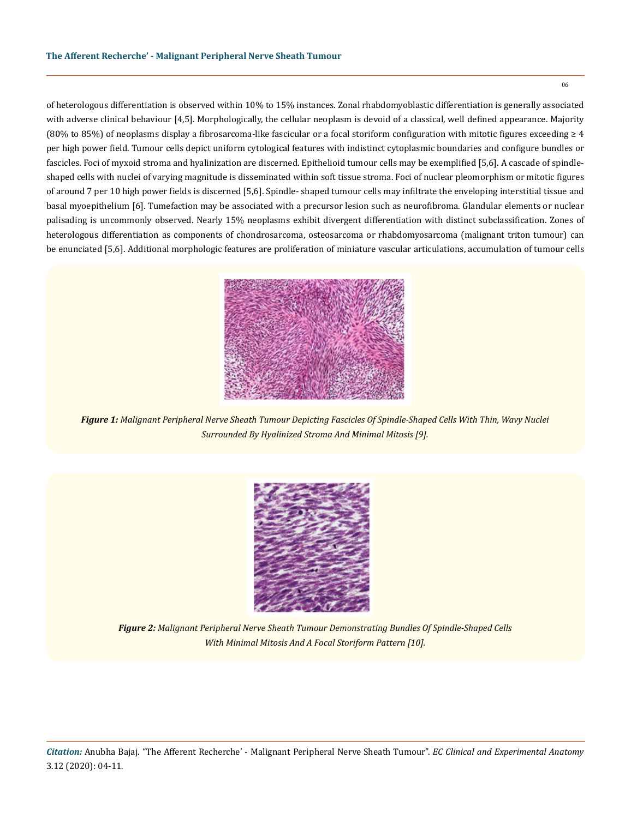of heterologous differentiation is observed within 10% to 15% instances. Zonal rhabdomyoblastic differentiation is generally associated with adverse clinical behaviour [4,5]. Morphologically, the cellular neoplasm is devoid of a classical, well defined appearance. Majority (80% to 85%) of neoplasms display a fibrosarcoma-like fascicular or a focal storiform configuration with mitotic figures exceeding  $\geq 4$ per high power field. Tumour cells depict uniform cytological features with indistinct cytoplasmic boundaries and configure bundles or fascicles. Foci of myxoid stroma and hyalinization are discerned. Epithelioid tumour cells may be exemplified [5,6]. A cascade of spindleshaped cells with nuclei of varying magnitude is disseminated within soft tissue stroma. Foci of nuclear pleomorphism or mitotic figures of around 7 per 10 high power fields is discerned [5,6]. Spindle- shaped tumour cells may infiltrate the enveloping interstitial tissue and basal myoepithelium [6]. Tumefaction may be associated with a precursor lesion such as neurofibroma. Glandular elements or nuclear palisading is uncommonly observed. Nearly 15% neoplasms exhibit divergent differentiation with distinct subclassification. Zones of heterologous differentiation as components of chondrosarcoma, osteosarcoma or rhabdomyosarcoma (malignant triton tumour) can be enunciated [5,6]. Additional morphologic features are proliferation of miniature vascular articulations, accumulation of tumour cells



*Figure 1: Malignant Peripheral Nerve Sheath Tumour Depicting Fascicles Of Spindle-Shaped Cells With Thin, Wavy Nuclei Surrounded By Hyalinized Stroma And Minimal Mitosis [9].*



*Figure 2: Malignant Peripheral Nerve Sheath Tumour Demonstrating Bundles Of Spindle-Shaped Cells With Minimal Mitosis And A Focal Storiform Pattern [10].*

*Citation:* Anubha Bajaj. "The Afferent Recherche' - Malignant Peripheral Nerve Sheath Tumour". *EC Clinical and Experimental Anatomy* 3.12 (2020): 04-11.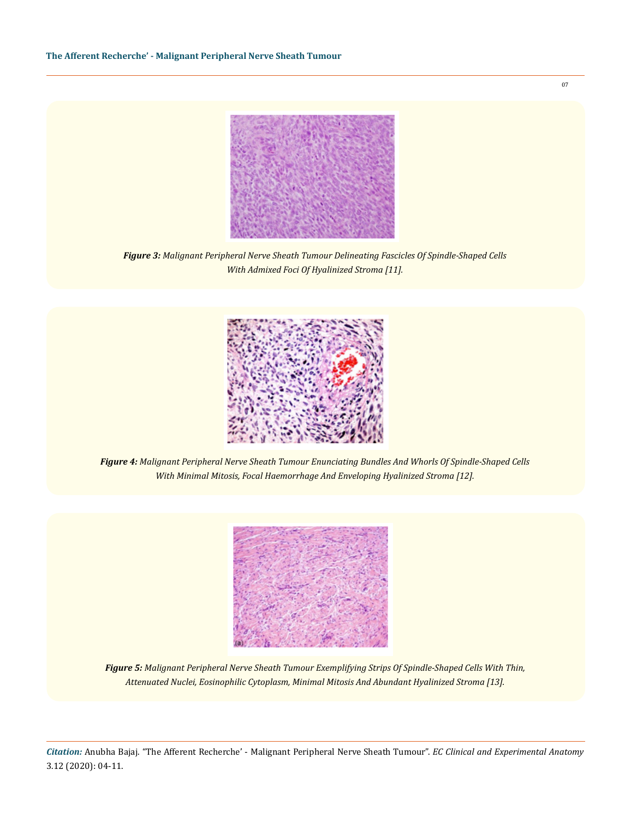

*Figure 3: Malignant Peripheral Nerve Sheath Tumour Delineating Fascicles Of Spindle-Shaped Cells With Admixed Foci Of Hyalinized Stroma [11].*



*Figure 4: Malignant Peripheral Nerve Sheath Tumour Enunciating Bundles And Whorls Of Spindle-Shaped Cells With Minimal Mitosis, Focal Haemorrhage And Enveloping Hyalinized Stroma [12].* 



*Figure 5: Malignant Peripheral Nerve Sheath Tumour Exemplifying Strips Of Spindle-Shaped Cells With Thin, Attenuated Nuclei, Eosinophilic Cytoplasm, Minimal Mitosis And Abundant Hyalinized Stroma [13].*

*Citation:* Anubha Bajaj. "The Afferent Recherche' - Malignant Peripheral Nerve Sheath Tumour". *EC Clinical and Experimental Anatomy* 3.12 (2020): 04-11.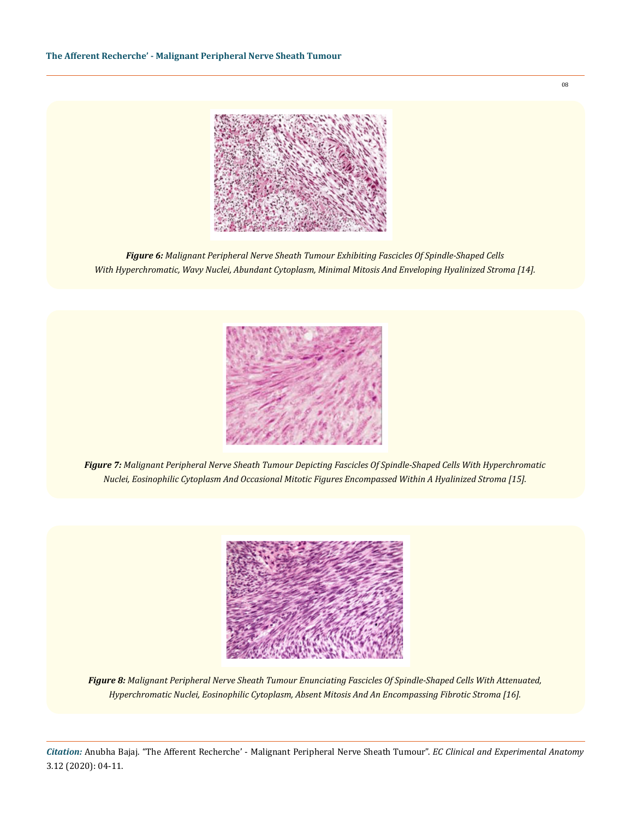

*Figure 6: Malignant Peripheral Nerve Sheath Tumour Exhibiting Fascicles Of Spindle-Shaped Cells With Hyperchromatic, Wavy Nuclei, Abundant Cytoplasm, Minimal Mitosis And Enveloping Hyalinized Stroma [14].*



*Figure 7: Malignant Peripheral Nerve Sheath Tumour Depicting Fascicles Of Spindle-Shaped Cells With Hyperchromatic Nuclei, Eosinophilic Cytoplasm And Occasional Mitotic Figures Encompassed Within A Hyalinized Stroma [15].*



*Figure 8: Malignant Peripheral Nerve Sheath Tumour Enunciating Fascicles Of Spindle-Shaped Cells With Attenuated, Hyperchromatic Nuclei, Eosinophilic Cytoplasm, Absent Mitosis And An Encompassing Fibrotic Stroma [16].* 

*Citation:* Anubha Bajaj. "The Afferent Recherche' - Malignant Peripheral Nerve Sheath Tumour". *EC Clinical and Experimental Anatomy* 3.12 (2020): 04-11.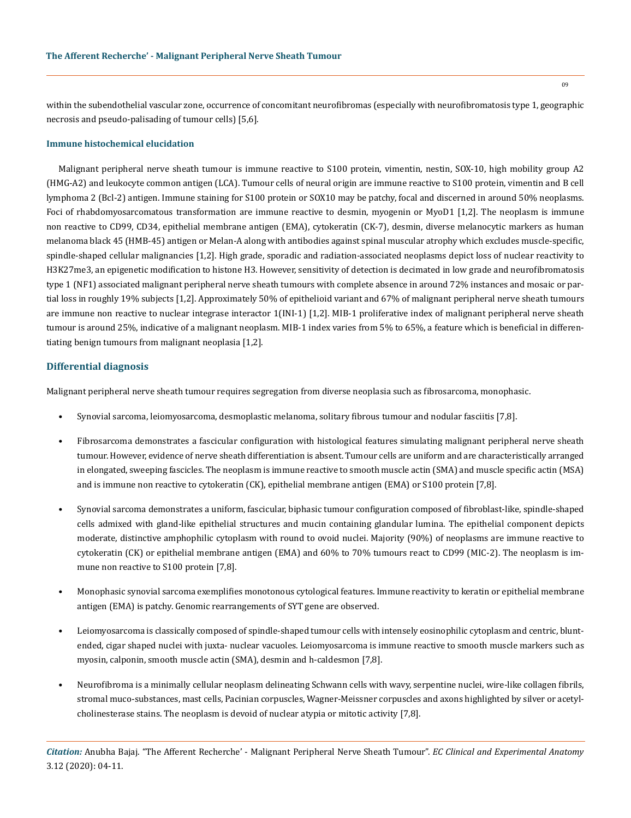within the subendothelial vascular zone, occurrence of concomitant neurofibromas (especially with neurofibromatosis type 1, geographic necrosis and pseudo-palisading of tumour cells) [5,6].

#### **Immune histochemical elucidation**

Malignant peripheral nerve sheath tumour is immune reactive to S100 protein, vimentin, nestin, SOX-10, high mobility group A2 (HMG-A2) and leukocyte common antigen (LCA). Tumour cells of neural origin are immune reactive to S100 protein, vimentin and B cell lymphoma 2 (Bcl-2) antigen. Immune staining for S100 protein or SOX10 may be patchy, focal and discerned in around 50% neoplasms. Foci of rhabdomyosarcomatous transformation are immune reactive to desmin, myogenin or MyoD1 [1,2]. The neoplasm is immune non reactive to CD99, CD34, epithelial membrane antigen (EMA), cytokeratin (CK-7), desmin, diverse melanocytic markers as human melanoma black 45 (HMB-45) antigen or Melan-A along with antibodies against spinal muscular atrophy which excludes muscle-specific, spindle-shaped cellular malignancies [1,2]. High grade, sporadic and radiation-associated neoplasms depict loss of nuclear reactivity to H3K27me3, an epigenetic modification to histone H3. However, sensitivity of detection is decimated in low grade and neurofibromatosis type 1 (NF1) associated malignant peripheral nerve sheath tumours with complete absence in around 72% instances and mosaic or partial loss in roughly 19% subjects [1,2]. Approximately 50% of epithelioid variant and 67% of malignant peripheral nerve sheath tumours are immune non reactive to nuclear integrase interactor 1(INI-1) [1,2]. MIB-1 proliferative index of malignant peripheral nerve sheath tumour is around 25%, indicative of a malignant neoplasm. MIB-1 index varies from 5% to 65%, a feature which is beneficial in differentiating benign tumours from malignant neoplasia [1,2].

# **Differential diagnosis**

Malignant peripheral nerve sheath tumour requires segregation from diverse neoplasia such as fibrosarcoma, monophasic.

- Synovial sarcoma, leiomyosarcoma, desmoplastic melanoma, solitary fibrous tumour and nodular fasciitis [7,8].
- Fibrosarcoma demonstrates a fascicular configuration with histological features simulating malignant peripheral nerve sheath tumour. However, evidence of nerve sheath differentiation is absent. Tumour cells are uniform and are characteristically arranged in elongated, sweeping fascicles. The neoplasm is immune reactive to smooth muscle actin (SMA) and muscle specific actin (MSA) and is immune non reactive to cytokeratin (CK), epithelial membrane antigen (EMA) or S100 protein [7,8].
- Synovial sarcoma demonstrates a uniform, fascicular, biphasic tumour configuration composed of fibroblast-like, spindle-shaped cells admixed with gland-like epithelial structures and mucin containing glandular lumina. The epithelial component depicts moderate, distinctive amphophilic cytoplasm with round to ovoid nuclei. Majority (90%) of neoplasms are immune reactive to cytokeratin (CK) or epithelial membrane antigen (EMA) and 60% to 70% tumours react to CD99 (MIC-2). The neoplasm is immune non reactive to S100 protein [7,8].
- Monophasic synovial sarcoma exemplifies monotonous cytological features. Immune reactivity to keratin or epithelial membrane antigen (EMA) is patchy. Genomic rearrangements of SYT gene are observed.
- Leiomyosarcoma is classically composed of spindle-shaped tumour cells with intensely eosinophilic cytoplasm and centric, bluntended, cigar shaped nuclei with juxta- nuclear vacuoles. Leiomyosarcoma is immune reactive to smooth muscle markers such as myosin, calponin, smooth muscle actin (SMA), desmin and h-caldesmon [7,8].
- Neurofibroma is a minimally cellular neoplasm delineating Schwann cells with wavy, serpentine nuclei, wire-like collagen fibrils, stromal muco-substances, mast cells, Pacinian corpuscles, Wagner-Meissner corpuscles and axons highlighted by silver or acetylcholinesterase stains. The neoplasm is devoid of nuclear atypia or mitotic activity [7,8].

*Citation:* Anubha Bajaj. "The Afferent Recherche' - Malignant Peripheral Nerve Sheath Tumour". *EC Clinical and Experimental Anatomy* 3.12 (2020): 04-11.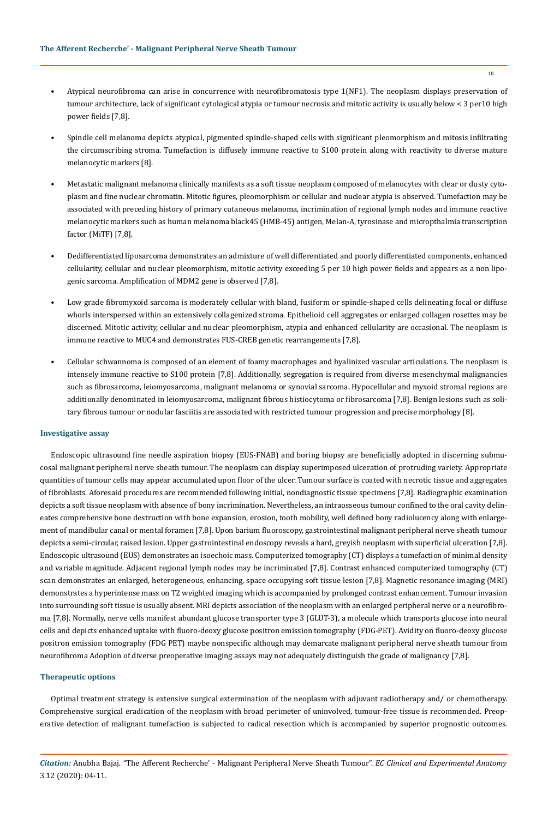- Atypical neurofibroma can arise in concurrence with neurofibromatosis type 1(NF1). The neoplasm displays preservation of tumour architecture, lack of significant cytological atypia or tumour necrosis and mitotic activity is usually below < 3 per10 high power fields [7,8].
- Spindle cell melanoma depicts atypical, pigmented spindle-shaped cells with significant pleomorphism and mitosis infiltrating the circumscribing stroma. Tumefaction is diffusely immune reactive to S100 protein along with reactivity to diverse mature melanocytic markers [8].
- Metastatic malignant melanoma clinically manifests as a soft tissue neoplasm composed of melanocytes with clear or dusty cytoplasm and fine nuclear chromatin. Mitotic figures, pleomorphism or cellular and nuclear atypia is observed. Tumefaction may be associated with preceding history of primary cutaneous melanoma, incrimination of regional lymph nodes and immune reactive melanocytic markers such as human melanoma black45 (HMB-45) antigen, Melan-A, tyrosinase and micropthalmia transcription factor (MiTF) [7,8].
- Dedifferentiated liposarcoma demonstrates an admixture of well differentiated and poorly differentiated components, enhanced cellularity, cellular and nuclear pleomorphism, mitotic activity exceeding 5 per 10 high power fields and appears as a non lipogenic sarcoma. Amplification of MDM2 gene is observed [7,8].
- Low grade fibromyxoid sarcoma is moderately cellular with bland, fusiform or spindle-shaped cells delineating focal or diffuse whorls interspersed within an extensively collagenized stroma. Epithelioid cell aggregates or enlarged collagen rosettes may be discerned. Mitotic activity, cellular and nuclear pleomorphism, atypia and enhanced cellularity are occasional. The neoplasm is immune reactive to MUC4 and demonstrates FUS-CREB genetic rearrangements [7,8].
- Cellular schwannoma is composed of an element of foamy macrophages and hyalinized vascular articulations. The neoplasm is intensely immune reactive to S100 protein [7,8]. Additionally, segregation is required from diverse mesenchymal malignancies such as fibrosarcoma, leiomyosarcoma, malignant melanoma or synovial sarcoma. Hypocellular and myxoid stromal regions are additionally denominated in leiomyosarcoma, malignant fibrous histiocytoma or fibrosarcoma [7,8]. Benign lesions such as solitary fibrous tumour or nodular fasciitis are associated with restricted tumour progression and precise morphology [8].

#### **Investigative assay**

Endoscopic ultrasound fine needle aspiration biopsy (EUS-FNAB) and boring biopsy are beneficially adopted in discerning submucosal malignant peripheral nerve sheath tumour. The neoplasm can display superimposed ulceration of protruding variety. Appropriate quantities of tumour cells may appear accumulated upon floor of the ulcer. Tumour surface is coated with necrotic tissue and aggregates of fibroblasts. Aforesaid procedures are recommended following initial, nondiagnostic tissue specimens [7,8]. Radiographic examination depicts a soft tissue neoplasm with absence of bony incrimination. Nevertheless, an intraosseous tumour confined to the oral cavity delineates comprehensive bone destruction with bone expansion, erosion, tooth mobility, well defined bony radiolucency along with enlargement of mandibular canal or mental foramen [7,8]. Upon barium fluoroscopy, gastrointestinal malignant peripheral nerve sheath tumour depicts a semi-circular, raised lesion. Upper gastrointestinal endoscopy reveals a hard, greyish neoplasm with superficial ulceration [7,8]. Endoscopic ultrasound (EUS) demonstrates an isoechoic mass. Computerized tomography (CT) displays a tumefaction of minimal density and variable magnitude. Adjacent regional lymph nodes may be incriminated [7,8]. Contrast enhanced computerized tomography (CT) scan demonstrates an enlarged, heterogeneous, enhancing, space occupying soft tissue lesion [7,8]. Magnetic resonance imaging (MRI) demonstrates a hyperintense mass on T2 weighted imaging which is accompanied by prolonged contrast enhancement. Tumour invasion into surrounding soft tissue is usually absent. MRI depicts association of the neoplasm with an enlarged peripheral nerve or a neurofibroma [7,8]. Normally, nerve cells manifest abundant glucose transporter type 3 (GLUT-3), a molecule which transports glucose into neural cells and depicts enhanced uptake with fluoro-deoxy glucose positron emission tomography (FDG-PET). Avidity on fluoro-deoxy glucose positron emission tomography (FDG PET) maybe nonspecific although may demarcate malignant peripheral nerve sheath tumour from neurofibroma Adoption of diverse preoperative imaging assays may not adequately distinguish the grade of malignancy [7,8].

#### **Therapeutic options**

Optimal treatment strategy is extensive surgical extermination of the neoplasm with adjuvant radiotherapy and/ or chemotherapy. Comprehensive surgical eradication of the neoplasm with broad perimeter of uninvolved, tumour-free tissue is recommended. Preoperative detection of malignant tumefaction is subjected to radical resection which is accompanied by superior prognostic outcomes.

*Citation:* Anubha Bajaj. "The Afferent Recherche' - Malignant Peripheral Nerve Sheath Tumour". *EC Clinical and Experimental Anatomy* 3.12 (2020): 04-11.